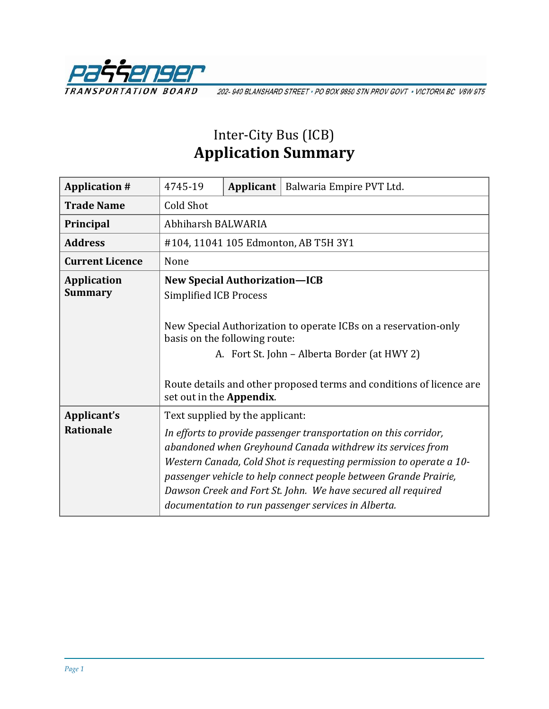

202-940 BLANSHARD STREET · PO BOX 9850 STN PROV GOVT · VICTORIA BC V8W 9T5

## Inter-City Bus (ICB) **Application Summary**

| <b>Application #</b>                 | 4745-19                                                                                                                                                                           | Applicant | Balwaria Empire PVT Ltd.                                                                                                                                                                                                                                                                                                                                                                         |  |
|--------------------------------------|-----------------------------------------------------------------------------------------------------------------------------------------------------------------------------------|-----------|--------------------------------------------------------------------------------------------------------------------------------------------------------------------------------------------------------------------------------------------------------------------------------------------------------------------------------------------------------------------------------------------------|--|
| <b>Trade Name</b>                    | <b>Cold Shot</b>                                                                                                                                                                  |           |                                                                                                                                                                                                                                                                                                                                                                                                  |  |
| Principal                            | Abhiharsh BALWARIA                                                                                                                                                                |           |                                                                                                                                                                                                                                                                                                                                                                                                  |  |
| <b>Address</b>                       | #104, 11041 105 Edmonton, AB T5H 3Y1                                                                                                                                              |           |                                                                                                                                                                                                                                                                                                                                                                                                  |  |
| <b>Current Licence</b>               | None                                                                                                                                                                              |           |                                                                                                                                                                                                                                                                                                                                                                                                  |  |
| <b>Application</b><br><b>Summary</b> | <b>New Special Authorization-ICB</b><br><b>Simplified ICB Process</b><br>New Special Authorization to operate ICBs on a reservation-only                                          |           |                                                                                                                                                                                                                                                                                                                                                                                                  |  |
|                                      | basis on the following route:<br>A. Fort St. John - Alberta Border (at HWY 2)<br>Route details and other proposed terms and conditions of licence are<br>set out in the Appendix. |           |                                                                                                                                                                                                                                                                                                                                                                                                  |  |
| Applicant's<br><b>Rationale</b>      | Text supplied by the applicant:                                                                                                                                                   |           | In efforts to provide passenger transportation on this corridor,<br>abandoned when Greyhound Canada withdrew its services from<br>Western Canada, Cold Shot is requesting permission to operate a 10-<br>passenger vehicle to help connect people between Grande Prairie,<br>Dawson Creek and Fort St. John. We have secured all required<br>documentation to run passenger services in Alberta. |  |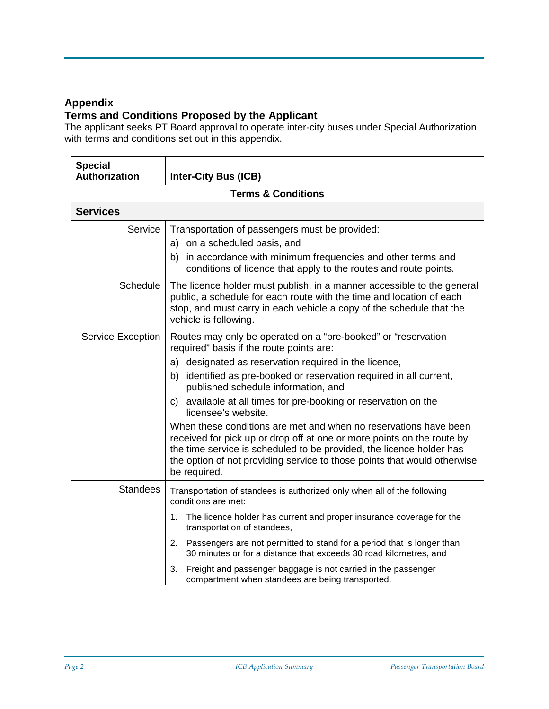## **Appendix**

## **Terms and Conditions Proposed by the Applicant**

The applicant seeks PT Board approval to operate inter-city buses under Special Authorization with terms and conditions set out in this appendix.

| <b>Special</b><br>Authorization | <b>Inter-City Bus (ICB)</b>                                                                                                                                                                                                                                                                                                                                                                                                                                                                                                                                                                                                                                                                  |  |  |  |  |
|---------------------------------|----------------------------------------------------------------------------------------------------------------------------------------------------------------------------------------------------------------------------------------------------------------------------------------------------------------------------------------------------------------------------------------------------------------------------------------------------------------------------------------------------------------------------------------------------------------------------------------------------------------------------------------------------------------------------------------------|--|--|--|--|
| <b>Terms &amp; Conditions</b>   |                                                                                                                                                                                                                                                                                                                                                                                                                                                                                                                                                                                                                                                                                              |  |  |  |  |
| <b>Services</b>                 |                                                                                                                                                                                                                                                                                                                                                                                                                                                                                                                                                                                                                                                                                              |  |  |  |  |
| Service                         | Transportation of passengers must be provided:<br>a) on a scheduled basis, and<br>b) in accordance with minimum frequencies and other terms and<br>conditions of licence that apply to the routes and route points.                                                                                                                                                                                                                                                                                                                                                                                                                                                                          |  |  |  |  |
| <b>Schedule</b>                 | The licence holder must publish, in a manner accessible to the general<br>public, a schedule for each route with the time and location of each<br>stop, and must carry in each vehicle a copy of the schedule that the<br>vehicle is following.                                                                                                                                                                                                                                                                                                                                                                                                                                              |  |  |  |  |
| Service Exception               | Routes may only be operated on a "pre-booked" or "reservation<br>required" basis if the route points are:<br>a) designated as reservation required in the licence,<br>b) identified as pre-booked or reservation required in all current,<br>published schedule information, and<br>c) available at all times for pre-booking or reservation on the<br>licensee's website.<br>When these conditions are met and when no reservations have been<br>received for pick up or drop off at one or more points on the route by<br>the time service is scheduled to be provided, the licence holder has<br>the option of not providing service to those points that would otherwise<br>be required. |  |  |  |  |
| <b>Standees</b>                 | Transportation of standees is authorized only when all of the following<br>conditions are met:<br>The licence holder has current and proper insurance coverage for the<br>1.<br>transportation of standees,<br>2. Passengers are not permitted to stand for a period that is longer than<br>30 minutes or for a distance that exceeds 30 road kilometres, and<br>Freight and passenger baggage is not carried in the passenger<br>3.<br>compartment when standees are being transported.                                                                                                                                                                                                     |  |  |  |  |